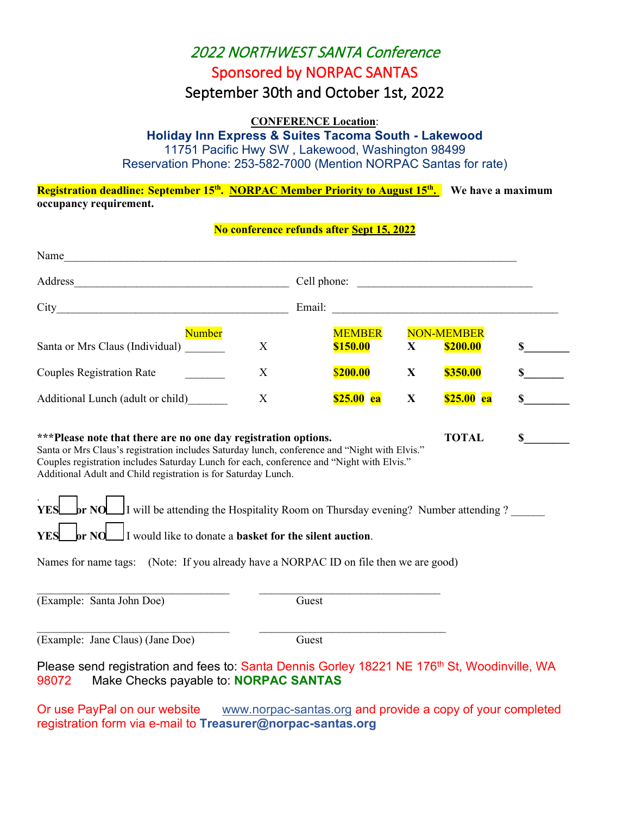# 2022 NORTHWEST SANTA Conference Sponsored by NORPAC SANTAS

# September 30th and October 1st, 2022

### **CONFERENCE Location**:

**Holiday Inn Express & Suites Tacoma South - Lakewood**

11751 Pacific Hwy SW , Lakewood, Washington 98499

Reservation Phone: 253-582-7000 (Mention NORPAC Santas for rate)

# **Registration deadline: September 15<sup>th</sup>. NORPAC Member Priority to August 15<sup>th</sup>. We have a maximum occupancy requirement.**

### **No conference refunds after Sept 15, 2022**

| Name                                                                                                                                                                                                                                                                                                                                                                                                                                                                                                                                                                                                                                        |   |             |                           |              |                               |                             |
|---------------------------------------------------------------------------------------------------------------------------------------------------------------------------------------------------------------------------------------------------------------------------------------------------------------------------------------------------------------------------------------------------------------------------------------------------------------------------------------------------------------------------------------------------------------------------------------------------------------------------------------------|---|-------------|---------------------------|--------------|-------------------------------|-----------------------------|
|                                                                                                                                                                                                                                                                                                                                                                                                                                                                                                                                                                                                                                             |   | Cell phone: |                           |              |                               |                             |
|                                                                                                                                                                                                                                                                                                                                                                                                                                                                                                                                                                                                                                             |   |             |                           |              |                               |                             |
| Number<br>Santa or Mrs Claus (Individual)                                                                                                                                                                                                                                                                                                                                                                                                                                                                                                                                                                                                   | X |             | <b>MEMBER</b><br>\$150.00 | X            | <b>NON-MEMBER</b><br>\$200.00 | $\frac{\text{S}}{\text{S}}$ |
| <b>Couples Registration Rate</b>                                                                                                                                                                                                                                                                                                                                                                                                                                                                                                                                                                                                            | X |             | \$200.00                  | X            | \$350.00                      | $\mathbb{S}$                |
| Additional Lunch (adult or child)                                                                                                                                                                                                                                                                                                                                                                                                                                                                                                                                                                                                           | X |             | <b>\$25.00 ea</b>         | $\mathbf{X}$ | \$25.00 ea                    | \$                          |
| <b>TOTAL</b><br>***Please note that there are no one day registration options.<br>\$<br>Santa or Mrs Claus's registration includes Saturday lunch, conference and "Night with Elvis."<br>Couples registration includes Saturday Lunch for each, conference and "Night with Elvis."<br>Additional Adult and Child registration is for Saturday Lunch.<br><b>br NO</b> I will be attending the Hospitality Room on Thursday evening? Number attending ?<br><b>YES</b><br>or NO I would like to donate a basket for the silent auction.<br><b>YES</b><br>Names for name tags: (Note: If you already have a NORPAC ID on file then we are good) |   |             |                           |              |                               |                             |
| (Example: Santa John Doe)                                                                                                                                                                                                                                                                                                                                                                                                                                                                                                                                                                                                                   |   | Guest       |                           |              |                               |                             |
| (Example: Jane Claus) (Jane Doe)<br>Please send registration and fees to: Santa Dennis Gorley 18221 NE 176 <sup>th</sup> St, Woodinville, WA<br>Make Checks payable to: NORPAC SANTAS<br>98072                                                                                                                                                                                                                                                                                                                                                                                                                                              |   | Guest       |                           |              |                               |                             |
|                                                                                                                                                                                                                                                                                                                                                                                                                                                                                                                                                                                                                                             |   |             |                           |              |                               |                             |

Or use PayPal on our website [www.norpac-santas.org](http://www.norpac-santas.org/) and provide a copy of your completed registration form via e-mail to **Treasurer@norpac-santas.org**